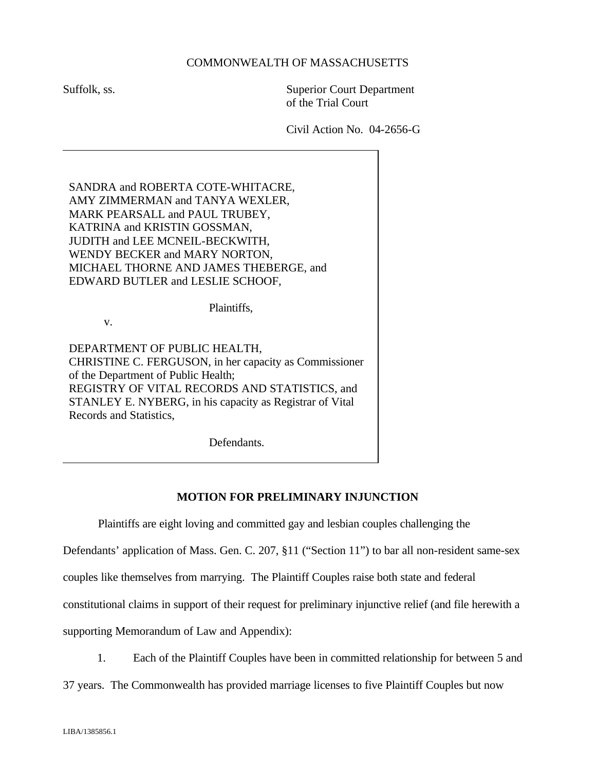## COMMONWEALTH OF MASSACHUSETTS

Suffolk, ss. Superior Court Department of the Trial Court

Civil Action No. 04-2656-G

SANDRA and ROBERTA COTE-WHITACRE, AMY ZIMMERMAN and TANYA WEXLER, MARK PEARSALL and PAUL TRUBEY, KATRINA and KRISTIN GOSSMAN, JUDITH and LEE MCNEIL-BECKWITH, WENDY BECKER and MARY NORTON, MICHAEL THORNE AND JAMES THEBERGE, and EDWARD BUTLER and LESLIE SCHOOF,

Plaintiffs,

v.

DEPARTMENT OF PUBLIC HEALTH, CHRISTINE C. FERGUSON, in her capacity as Commissioner of the Department of Public Health; REGISTRY OF VITAL RECORDS AND STATISTICS, and STANLEY E. NYBERG, in his capacity as Registrar of Vital Records and Statistics,

Defendants.

## **MOTION FOR PRELIMINARY INJUNCTION**

Plaintiffs are eight loving and committed gay and lesbian couples challenging the

Defendants' application of Mass. Gen. C. 207, §11 ("Section 11") to bar all non-resident same-sex

couples like themselves from marrying. The Plaintiff Couples raise both state and federal

constitutional claims in support of their request for preliminary injunctive relief (and file herewith a

supporting Memorandum of Law and Appendix):

1. Each of the Plaintiff Couples have been in committed relationship for between 5 and

37 years. The Commonwealth has provided marriage licenses to five Plaintiff Couples but now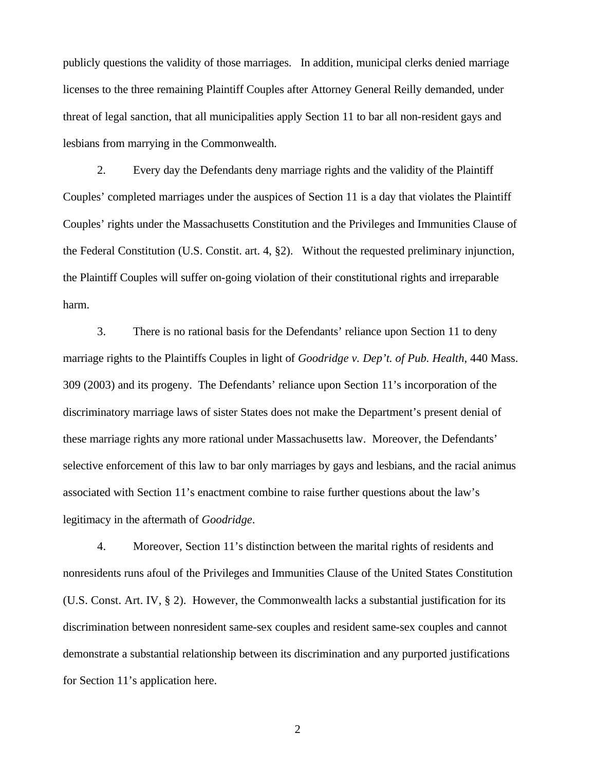publicly questions the validity of those marriages. In addition, municipal clerks denied marriage licenses to the three remaining Plaintiff Couples after Attorney General Reilly demanded, under threat of legal sanction, that all municipalities apply Section 11 to bar all non-resident gays and lesbians from marrying in the Commonwealth.

2. Every day the Defendants deny marriage rights and the validity of the Plaintiff Couples' completed marriages under the auspices of Section 11 is a day that violates the Plaintiff Couples' rights under the Massachusetts Constitution and the Privileges and Immunities Clause of the Federal Constitution (U.S. Constit. art. 4, §2). Without the requested preliminary injunction, the Plaintiff Couples will suffer on-going violation of their constitutional rights and irreparable harm.

3. There is no rational basis for the Defendants' reliance upon Section 11 to deny marriage rights to the Plaintiffs Couples in light of *Goodridge v. Dep't. of Pub. Health*, 440 Mass. 309 (2003) and its progeny. The Defendants' reliance upon Section 11's incorporation of the discriminatory marriage laws of sister States does not make the Department's present denial of these marriage rights any more rational under Massachusetts law. Moreover, the Defendants' selective enforcement of this law to bar only marriages by gays and lesbians, and the racial animus associated with Section 11's enactment combine to raise further questions about the law's legitimacy in the aftermath of *Goodridge*.

4. Moreover, Section 11's distinction between the marital rights of residents and nonresidents runs afoul of the Privileges and Immunities Clause of the United States Constitution (U.S. Const. Art. IV, § 2). However, the Commonwealth lacks a substantial justification for its discrimination between nonresident same-sex couples and resident same-sex couples and cannot demonstrate a substantial relationship between its discrimination and any purported justifications for Section 11's application here.

2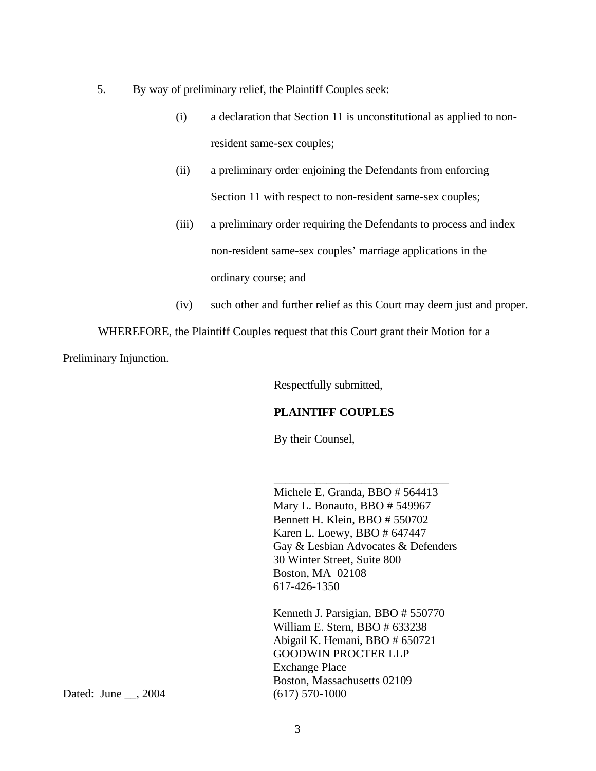- 5. By way of preliminary relief, the Plaintiff Couples seek:
	- (i) a declaration that Section 11 is unconstitutional as applied to nonresident same-sex couples;
	- (ii) a preliminary order enjoining the Defendants from enforcing Section 11 with respect to non-resident same-sex couples;
	- (iii) a preliminary order requiring the Defendants to process and index non-resident same-sex couples' marriage applications in the ordinary course; and
	- (iv) such other and further relief as this Court may deem just and proper.

WHEREFORE, the Plaintiff Couples request that this Court grant their Motion for a

Preliminary Injunction.

Respectfully submitted,

## **PLAINTIFF COUPLES**

By their Counsel,

Michele E. Granda, BBO # 564413 Mary L. Bonauto, BBO # 549967 Bennett H. Klein, BBO # 550702 Karen L. Loewy, BBO # 647447 Gay & Lesbian Advocates & Defenders 30 Winter Street, Suite 800 Boston, MA 02108 617-426-1350

\_\_\_\_\_\_\_\_\_\_\_\_\_\_\_\_\_\_\_\_\_\_\_\_\_\_\_\_\_\_

Kenneth J. Parsigian, BBO # 550770 William E. Stern, BBO # 633238 Abigail K. Hemani, BBO # 650721 GOODWIN PROCTER LLP Exchange Place Boston, Massachusetts 02109

Dated: June \_\_, 2004 (617) 570-1000